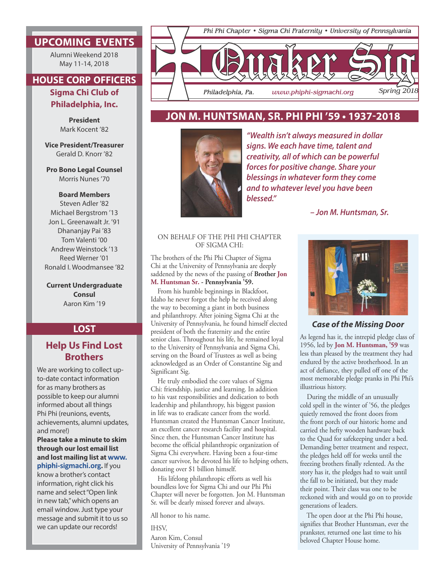## **UPCOMING EVENTS**

Alumni Weekend 2018 May 11-14, 2018

# **HOUSE CORP OFFICERS**

**Sigma Chi Club of Philadelphia, Inc.**

> **President** Mark Kocent '82

**Vice President/Treasurer** Gerald D. Knorr '82

**Pro Bono Legal Counsel** Morris Nunes '70

#### **Board Members**

Steven Adler '82 Michael Bergstrom '13 Jon L. Greenawalt Jr. '91 Dhananjay Pai '83 Tom Valenti '00 Andrew Weinstock '13 Reed Werner '01 Ronald I. Woodmansee '82

**Current Undergraduate Consul** Aaron Kim '19

### **LOST**

## **Help Us Find Lost Brothers**

We are working to collect upto-date contact information for as many brothers as possible to keep our alumni informed about all things Phi Phi (reunions, events, achievements, alumni updates, and more!)

**Please take a minute to skim through our lost email list and lost mailing list at www. phiphi-sigmachi.org.** If you

know a brother's contact information, right click his name and select "Open link in new tab," which opens an email window. Just type your message and submit it to us so we can update our records!



## **JON M. HUNTSMAN, SR. PHI PHI '59 • 1937-2018**



*"Wealth isn't always measured in dollar signs. We each have time, talent and creativity, all of which can be powerful forces for positive change. Share your blessings in whatever form they come and to whatever level you have been blessed."* 

*– Jon M. Huntsman, Sr.*

### ON BEHALF OF THE PHI PHI CHAPTER OF SIGMA CHI:

The brothers of the Phi Phi Chapter of Sigma Chi at the University of Pennsylvania are deeply saddened by the news of the passing of **Brother Jon M. Huntsman Sr. - Pennsylvania '59.**

From his humble beginnings in Blackfoot, Idaho he never forgot the help he received along the way to becoming a giant in both business and philanthropy. After joining Sigma Chi at the University of Pennsylvania, he found himself elected president of both the fraternity and the entire senior class. Throughout his life, he remained loyal to the University of Pennsylvania and Sigma Chi, serving on the Board of Trustees as well as being acknowledged as an Order of Constantine Sig and Significant Sig.

He truly embodied the core values of Sigma Chi: friendship, justice and learning. In addition to his vast responsibilities and dedication to both leadership and philanthropy, his biggest passion in life was to eradicate cancer from the world. Huntsman created the Huntsman Cancer Institute, an excellent cancer research facility and hospital. Since then, the Huntsman Cancer Institute has become the official philanthropic organization of Sigma Chi everywhere. Having been a four-time cancer survivor, he devoted his life to helping others, donating over \$1 billion himself.

His lifelong philanthropic efforts as well his boundless love for Sigma Chi and our Phi Phi Chapter will never be forgotten. Jon M. Huntsman Sr. will be dearly missed forever and always.

All honor to his name.

IHSV, Aaron Kim, Consul University of Pennsylvania '19



### *Case of the Missing Door*

As legend has it, the intrepid pledge class of 1956, led by **Jon M. Huntsman, '59** was less than pleased by the treatment they had endured by the active brotherhood. In an act of defiance, they pulled off one of the most memorable pledge pranks in Phi Phi's illustrious history.

During the middle of an unusually cold spell in the winter of '56, the pledges quietly removed the front doors from the front porch of our historic home and carried the hefty wooden hardware back to the Quad for safekeeping under a bed. Demanding better treatment and respect, the pledges held off for weeks until the freezing brothers finally relented. As the story has it, the pledges had to wait until the fall to be initiated, but they made their point. Their class was one to be reckoned with and would go on to provide generations of leaders.

The open door at the Phi Phi house, signifies that Brother Huntsman, ever the prankster, returned one last time to his beloved Chapter House home.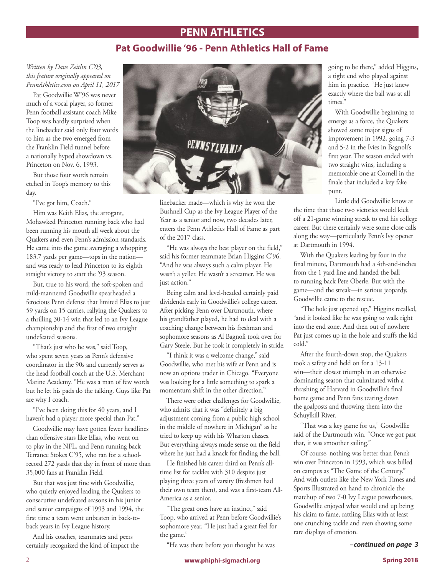## **PENN ATHLETICS**

## **Pat Goodwillie '96 - Penn Athletics Hall of Fame**

*Written by Dave Zeitlin C'03, this feature originally appeared on PennAthletics.com on April 11, 2017*

Pat Goodwillie W'96 was never much of a vocal player, so former Penn football assistant coach Mike Toop was hardly surprised when the linebacker said only four words to him as the two emerged from the Franklin Field tunnel before a nationally hyped showdown vs. Princeton on Nov. 6, 1993.

But those four words remain etched in Toop's memory to this day.

"I've got him, Coach."

Him was Keith Elias, the arrogant, Mohawked Princeton running back who had been running his mouth all week about the Quakers and even Penn's admission standards. He came into the game averaging a whopping 183.7 yards per game—tops in the nation and was ready to lead Princeton to its eighth straight victory to start the '93 season.

But, true to his word, the soft-spoken and mild-mannered Goodwillie spearheaded a ferocious Penn defense that limited Elias to just 59 yards on 15 carries, rallying the Quakers to a thrilling 30-14 win that led to an Ivy League championship and the first of two straight undefeated seasons.

"That's just who he was," said Toop, who spent seven years as Penn's defensive coordinator in the 90s and currently serves as the head football coach at the U.S. Merchant Marine Academy. "He was a man of few words but he let his pads do the talking. Guys like Pat are why I coach.

"I've been doing this for 40 years, and I haven't had a player more special than Pat."

Goodwillie may have gotten fewer headlines than offensive stars like Elias, who went on to play in the NFL, and Penn running back Terrance Stokes C'95, who ran for a schoolrecord 272 yards that day in front of more than 35,000 fans at Franklin Field.

But that was just fine with Goodwillie, who quietly enjoyed leading the Quakers to consecutive undefeated seasons in his junior and senior campaigns of 1993 and 1994, the first time a team went unbeaten in back-toback years in Ivy League history.

And his coaches, teammates and peers certainly recognized the kind of impact the



linebacker made—which is why he won the Bushnell Cup as the Ivy League Player of the Year as a senior and now, two decades later, enters the Penn Athletics Hall of Fame as part of the 2017 class.

"He was always the best player on the field," said his former teammate Brian Higgins C'96. "And he was always such a calm player. He wasn't a yeller. He wasn't a screamer. He was just action."

Being calm and level-headed certainly paid dividends early in Goodwillie's college career. After picking Penn over Dartmouth, where his grandfather played, he had to deal with a coaching change between his freshman and sophomore seasons as Al Bagnoli took over for Gary Steele. But he took it completely in stride.

"I think it was a welcome change," said Goodwillie, who met his wife at Penn and is now an options trader in Chicago. "Everyone was looking for a little something to spark a momentum shift in the other direction."

There were other challenges for Goodwillie, who admits that it was "definitely a big adjustment coming from a public high school in the middle of nowhere in Michigan" as he tried to keep up with his Wharton classes. But everything always made sense on the field where he just had a knack for finding the ball.

He finished his career third on Penn's alltime list for tackles with 310 despite just playing three years of varsity (freshmen had their own team then), and was a first-team All-America as a senior.

"The great ones have an instinct," said Toop, who arrived at Penn before Goodwillie's sophomore year. "He just had a great feel for the game."

"He was there before you thought he was

going to be there," added Higgins, a tight end who played against him in practice. "He just knew exactly where the ball was at all times."

With Goodwillie beginning to emerge as a force, the Quakers showed some major signs of improvement in 1992, going 7-3 and 5-2 in the Ivies in Bagnoli's first year. The season ended with two straight wins, including a memorable one at Cornell in the finale that included a key fake punt.

Little did Goodwillie know at the time that those two victories would kick off a 21-game winning streak to end his college career. But there certainly were some close calls along the way—particularly Penn's Ivy opener at Dartmouth in 1994.

With the Quakers leading by four in the final minute, Dartmouth had a 4th-and-inches from the 1 yard line and handed the ball to running back Pete Oberle. But with the game—and the streak—in serious jeopardy, Goodwillie came to the rescue.

"The hole just opened up," Higgins recalled, "and it looked like he was going to walk right into the end zone. And then out of nowhere Pat just comes up in the hole and stuffs the kid cold."

After the fourth-down stop, the Quakers took a safety and held on for a 13-11 win—their closest triumph in an otherwise dominating season that culminated with a thrashing of Harvard in Goodwillie's final home game and Penn fans tearing down the goalposts and throwing them into the Schuylkill River.

"That was a key game for us," Goodwillie said of the Dartmouth win. "Once we got past that, it was smoother sailing."

Of course, nothing was better than Penn's win over Princeton in 1993, which was billed on campus as "The Game of the Century." And with outlets like the New York Times and Sports Illustrated on hand to chronicle the matchup of two 7-0 Ivy League powerhouses, Goodwillie enjoyed what would end up being his claim to fame, rattling Elias with at least one crunching tackle and even showing some rare displays of emotion.

*–continued on page 3*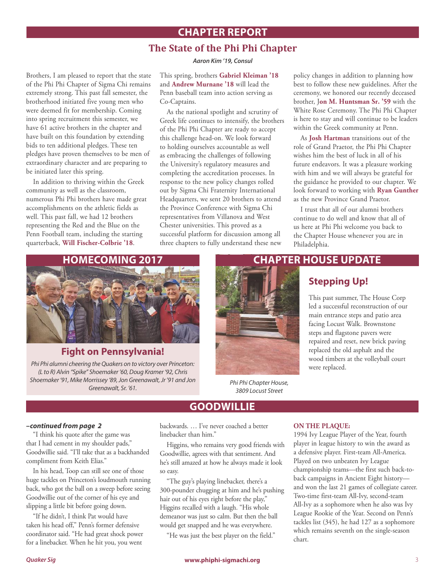# **CHAPTER REPORT**

## **The State of the Phi Phi Chapter**

*Aaron Kim '19, Consul*

Brothers, I am pleased to report that the state of the Phi Phi Chapter of Sigma Chi remains extremely strong. This past fall semester, the brotherhood initiated five young men who were deemed fit for membership. Coming into spring recruitment this semester, we have 61 active brothers in the chapter and have built on this foundation by extending bids to ten additional pledges. These ten pledges have proven themselves to be men of extraordinary character and are preparing to be initiated later this spring.

In addition to thriving within the Greek community as well as the classroom, numerous Phi Phi brothers have made great accomplishments on the athletic fields as well. This past fall, we had 12 brothers representing the Red and the Blue on the Penn Football team, including the starting quarterback, **Will Fischer-Colbrie '18**.

This spring, brothers **Gabriel Kleiman '18** and **Andrew Murnane '18** will lead the Penn baseball team into action serving as Co-Captains.

As the national spotlight and scrutiny of Greek life continues to intensify, the brothers of the Phi Phi Chapter are ready to accept this challenge head-on. We look forward to holding ourselves accountable as well as embracing the challenges of following the University's regulatory measures and completing the accreditation processes. In response to the new policy changes rolled out by Sigma Chi Fraternity International Headquarters, we sent 20 brothers to attend the Province Conference with Sigma Chi representatives from Villanova and West Chester universities. This proved as a successful platform for discussion among all three chapters to fully understand these new

policy changes in addition to planning how best to follow these new guidelines. After the ceremony, we honored our recently deceased brother, J**on M. Huntsman Sr. '59** with the White Rose Ceremony. The Phi Phi Chapter is here to stay and will continue to be leaders within the Greek community at Penn.

As **Josh Hartman** transitions out of the role of Grand Praetor, the Phi Phi Chapter wishes him the best of luck in all of his future endeavors. It was a pleasure working with him and we will always be grateful for the guidance he provided to our chapter. We look forward to working with **Ryan Gunther** as the new Province Grand Praetor.

I trust that all of our alumni brothers continue to do well and know that all of us here at Phi Phi welcome you back to the Chapter House whenever you are in Philadelphia.



### **Fight on Pennsylvania!**

*Phi Phi alumni cheering the Quakers on to victory over Princeton: (L to R) Alvin "Spike" Shoemaker '60, Doug Kramer '92, Chris Shoemaker '91, Mike Morrissey '89, Jon Greenawalt, Jr '91 and Jon Greenawalt, Sr. '61.*



*Phi Phi Chapter House, 3809 Locust Street* 

# **Stepping Up!**

This past summer, The House Corp led a successful reconstruction of our main entrance steps and patio area facing Locust Walk. Brownstone steps and flagstone pavers were repaired and reset, new brick paving replaced the old asphalt and the wood timbers at the volleyball court were replaced.

### *–continued from page 2*

"I think his quote after the game was that I had cement in my shoulder pads," Goodwillie said. "I'll take that as a backhanded compliment from Keith Elias."

In his head, Toop can still see one of those huge tackles on Princeton's loudmouth running back, who got the ball on a sweep before seeing Goodwillie out of the corner of his eye and slipping a little bit before going down.

"If he didn't, I think Pat would have taken his head off," Penn's former defensive coordinator said. "He had great shock power for a linebacker. When he hit you, you went

backwards. … I've never coached a better linebacker than him."

Higgins, who remains very good friends with Goodwillie, agrees with that sentiment. And he's still amazed at how he always made it look so easy.

**GOODWILLIE**

"The guy's playing linebacker, there's a 300-pounder chugging at him and he's pushing hair out of his eyes right before the play," Higgins recalled with a laugh. "His whole demeanor was just so calm. But then the ball would get snapped and he was everywhere.

"He was just the best player on the field."

### **ON THE PLAQUE:**

1994 Ivy League Player of the Year, fourth player in league history to win the award as a defensive player. First-team All-America. Played on two unbeaten Ivy League championship teams—the first such back-toback campaigns in Ancient Eight history and won the last 21 games of collegiate career. Two-time first-team All-Ivy, second-team All-Ivy as a sophomore when he also was Ivy League Rookie of the Year. Second on Penn's tackles list (345), he had 127 as a sophomore which remains seventh on the single-season chart.